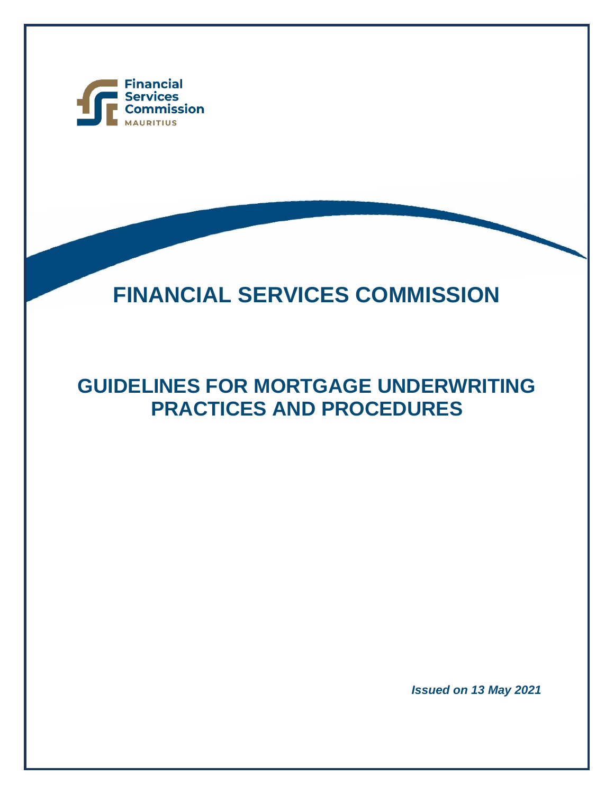

j

# **FINANCIAL SERVICES COMMISSION**

## **GUIDELINES FOR MORTGAGE UNDERWRITING PRACTICES AND PROCEDURES**

*Issued on 13 May 2021*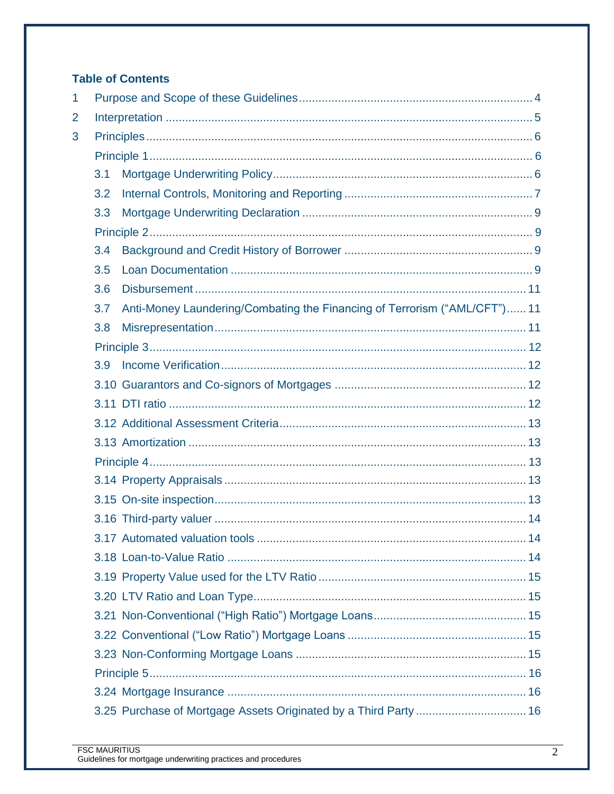## **Table of Contents**

| 1 |     |                                                                           |  |  |
|---|-----|---------------------------------------------------------------------------|--|--|
| 2 |     |                                                                           |  |  |
| 3 |     |                                                                           |  |  |
|   |     |                                                                           |  |  |
|   | 3.1 |                                                                           |  |  |
|   | 3.2 |                                                                           |  |  |
|   | 3.3 |                                                                           |  |  |
|   |     |                                                                           |  |  |
|   | 3.4 |                                                                           |  |  |
|   | 3.5 |                                                                           |  |  |
|   | 3.6 |                                                                           |  |  |
|   | 3.7 | Anti-Money Laundering/Combating the Financing of Terrorism ("AML/CFT") 11 |  |  |
|   | 3.8 |                                                                           |  |  |
|   |     |                                                                           |  |  |
|   | 3.9 |                                                                           |  |  |
|   |     |                                                                           |  |  |
|   |     |                                                                           |  |  |
|   |     |                                                                           |  |  |
|   |     |                                                                           |  |  |
|   |     |                                                                           |  |  |
|   |     |                                                                           |  |  |
|   |     |                                                                           |  |  |
|   |     |                                                                           |  |  |
|   |     |                                                                           |  |  |
|   |     |                                                                           |  |  |
|   |     |                                                                           |  |  |
|   |     |                                                                           |  |  |
|   |     |                                                                           |  |  |
|   |     |                                                                           |  |  |
|   |     |                                                                           |  |  |
|   |     |                                                                           |  |  |
|   |     |                                                                           |  |  |
|   |     | 3.25 Purchase of Mortgage Assets Originated by a Third Party  16          |  |  |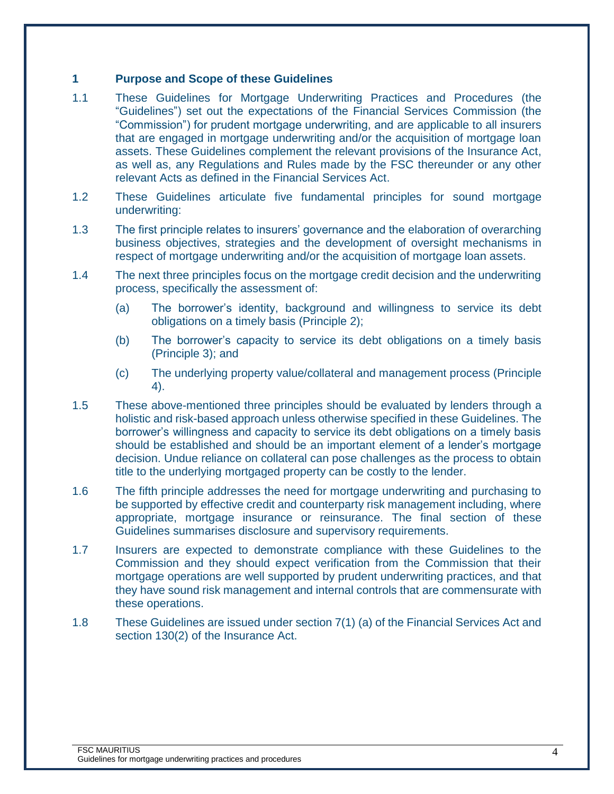#### <span id="page-3-0"></span>**1 Purpose and Scope of these Guidelines**

- 1.1 These Guidelines for Mortgage Underwriting Practices and Procedures (the "Guidelines") set out the expectations of the Financial Services Commission (the "Commission") for prudent mortgage underwriting, and are applicable to all insurers that are engaged in mortgage underwriting and/or the acquisition of mortgage loan assets. These Guidelines complement the relevant provisions of the Insurance Act, as well as, any Regulations and Rules made by the FSC thereunder or any other relevant Acts as defined in the Financial Services Act.
- 1.2 These Guidelines articulate five fundamental principles for sound mortgage underwriting:
- 1.3 The first principle relates to insurers' governance and the elaboration of overarching business objectives, strategies and the development of oversight mechanisms in respect of mortgage underwriting and/or the acquisition of mortgage loan assets.
- 1.4 The next three principles focus on the mortgage credit decision and the underwriting process, specifically the assessment of:
	- (a) The borrower's identity, background and willingness to service its debt obligations on a timely basis (Principle 2);
	- (b) The borrower's capacity to service its debt obligations on a timely basis (Principle 3); and
	- (c) The underlying property value/collateral and management process (Principle 4).
- 1.5 These above-mentioned three principles should be evaluated by lenders through a holistic and risk-based approach unless otherwise specified in these Guidelines. The borrower's willingness and capacity to service its debt obligations on a timely basis should be established and should be an important element of a lender's mortgage decision. Undue reliance on collateral can pose challenges as the process to obtain title to the underlying mortgaged property can be costly to the lender.
- 1.6 The fifth principle addresses the need for mortgage underwriting and purchasing to be supported by effective credit and counterparty risk management including, where appropriate, mortgage insurance or reinsurance. The final section of these Guidelines summarises disclosure and supervisory requirements.
- 1.7 Insurers are expected to demonstrate compliance with these Guidelines to the Commission and they should expect verification from the Commission that their mortgage operations are well supported by prudent underwriting practices, and that they have sound risk management and internal controls that are commensurate with these operations.
- 1.8 These Guidelines are issued under section 7(1) (a) of the Financial Services Act and section 130(2) of the Insurance Act.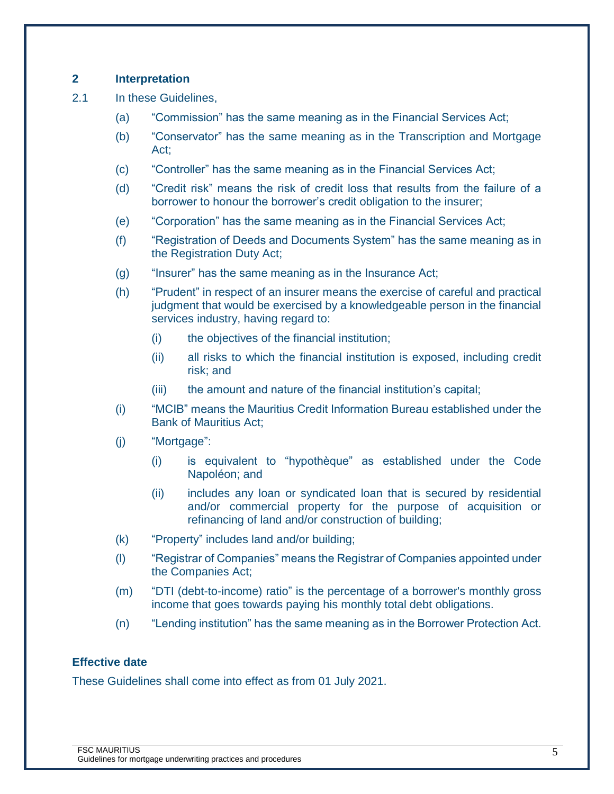## <span id="page-4-0"></span>**2 Interpretation**

- 2.1 In these Guidelines,
	- (a) "Commission" has the same meaning as in the Financial Services Act;
	- (b) "Conservator" has the same meaning as in the Transcription and Mortgage Act;
	- (c) "Controller" has the same meaning as in the Financial Services Act;
	- (d) "Credit risk" means the risk of credit loss that results from the failure of a borrower to honour the borrower's credit obligation to the insurer;
	- (e) "Corporation" has the same meaning as in the Financial Services Act;
	- (f) "Registration of Deeds and Documents System" has the same meaning as in the Registration Duty Act;
	- (g) "Insurer" has the same meaning as in the Insurance Act;
	- (h) "Prudent" in respect of an insurer means the exercise of careful and practical judgment that would be exercised by a knowledgeable person in the financial services industry, having regard to:
		- (i) the objectives of the financial institution;
		- (ii) all risks to which the financial institution is exposed, including credit risk; and
		- (iii) the amount and nature of the financial institution's capital;
	- (i) "MCIB" means the Mauritius Credit Information Bureau established under the Bank of Mauritius Act;
	- (j) "Mortgage":
		- (i) is equivalent to "hypothèque" as established under the Code Napoléon; and
		- (ii) includes any loan or syndicated loan that is secured by residential and/or commercial property for the purpose of acquisition or refinancing of land and/or construction of building;
	- (k) "Property" includes land and/or building;
	- (l) "Registrar of Companies" means the Registrar of Companies appointed under the Companies Act;
	- (m) "DTI (debt-to-income) ratio" is the percentage of a borrower's monthly gross income that goes towards paying his monthly total debt obligations.
	- (n) "Lending institution" has the same meaning as in the Borrower Protection Act.

#### **Effective date**

These Guidelines shall come into effect as from 01 July 2021.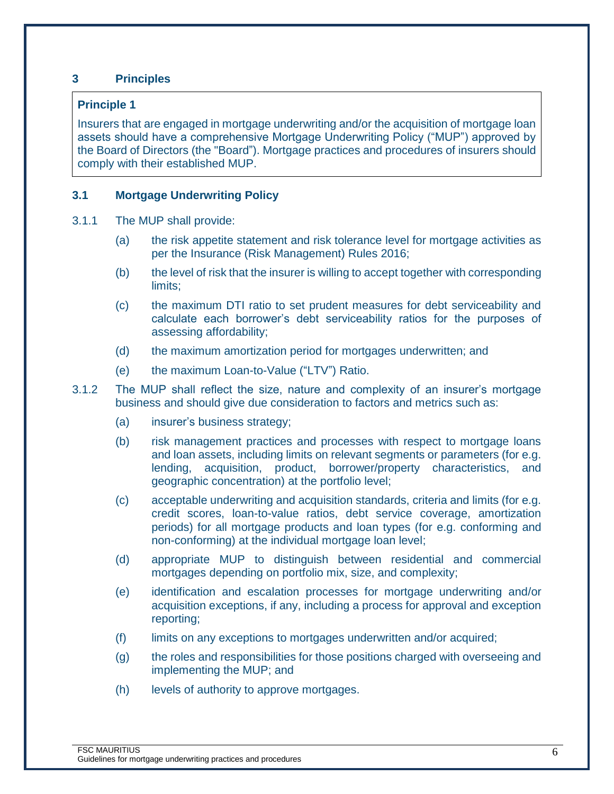## <span id="page-5-0"></span>**3 Principles**

#### <span id="page-5-1"></span>**Principle 1**

Insurers that are engaged in mortgage underwriting and/or the acquisition of mortgage loan assets should have a comprehensive Mortgage Underwriting Policy ("MUP") approved by the Board of Directors (the "Board"). Mortgage practices and procedures of insurers should comply with their established MUP.

#### <span id="page-5-2"></span>**3.1 Mortgage Underwriting Policy**

- 3.1.1 The MUP shall provide:
	- (a) the risk appetite statement and risk tolerance level for mortgage activities as per the Insurance (Risk Management) Rules 2016;
	- (b) the level of risk that the insurer is willing to accept together with corresponding limits;
	- (c) the maximum DTI ratio to set prudent measures for debt serviceability and calculate each borrower's debt serviceability ratios for the purposes of assessing affordability;
	- (d) the maximum amortization period for mortgages underwritten; and
	- (e) the maximum Loan-to-Value ("LTV") Ratio.

3.1.2 The MUP shall reflect the size, nature and complexity of an insurer's mortgage business and should give due consideration to factors and metrics such as:

- (a) insurer's business strategy;
- (b) risk management practices and processes with respect to mortgage loans and loan assets, including limits on relevant segments or parameters (for e.g. lending, acquisition, product, borrower/property characteristics, and geographic concentration) at the portfolio level;
- (c) acceptable underwriting and acquisition standards, criteria and limits (for e.g. credit scores, loan-to-value ratios, debt service coverage, amortization periods) for all mortgage products and loan types (for e.g. conforming and non-conforming) at the individual mortgage loan level;
- (d) appropriate MUP to distinguish between residential and commercial mortgages depending on portfolio mix, size, and complexity;
- (e) identification and escalation processes for mortgage underwriting and/or acquisition exceptions, if any, including a process for approval and exception reporting;
- (f) limits on any exceptions to mortgages underwritten and/or acquired;
- (g) the roles and responsibilities for those positions charged with overseeing and implementing the MUP; and
- (h) levels of authority to approve mortgages.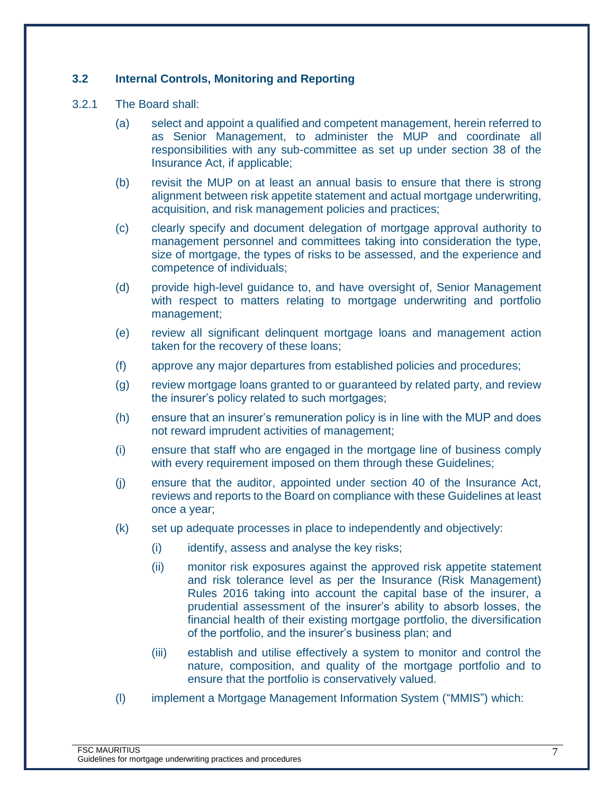#### <span id="page-6-0"></span>**3.2 Internal Controls, Monitoring and Reporting**

- 3.2.1 The Board shall:
	- (a) select and appoint a qualified and competent management, herein referred to as Senior Management, to administer the MUP and coordinate all responsibilities with any sub-committee as set up under section 38 of the Insurance Act, if applicable;
	- (b) revisit the MUP on at least an annual basis to ensure that there is strong alignment between risk appetite statement and actual mortgage underwriting, acquisition, and risk management policies and practices;
	- (c) clearly specify and document delegation of mortgage approval authority to management personnel and committees taking into consideration the type, size of mortgage, the types of risks to be assessed, and the experience and competence of individuals;
	- (d) provide high-level guidance to, and have oversight of, Senior Management with respect to matters relating to mortgage underwriting and portfolio management;
	- (e) review all significant delinquent mortgage loans and management action taken for the recovery of these loans;
	- (f) approve any major departures from established policies and procedures;
	- (g) review mortgage loans granted to or guaranteed by related party, and review the insurer's policy related to such mortgages;
	- (h) ensure that an insurer's remuneration policy is in line with the MUP and does not reward imprudent activities of management;
	- (i) ensure that staff who are engaged in the mortgage line of business comply with every requirement imposed on them through these Guidelines;
	- (j) ensure that the auditor, appointed under section 40 of the Insurance Act, reviews and reports to the Board on compliance with these Guidelines at least once a year;
	- (k) set up adequate processes in place to independently and objectively:
		- (i) identify, assess and analyse the key risks;
		- (ii) monitor risk exposures against the approved risk appetite statement and risk tolerance level as per the Insurance (Risk Management) Rules 2016 taking into account the capital base of the insurer, a prudential assessment of the insurer's ability to absorb losses, the financial health of their existing mortgage portfolio, the diversification of the portfolio, and the insurer's business plan; and
		- (iii) establish and utilise effectively a system to monitor and control the nature, composition, and quality of the mortgage portfolio and to ensure that the portfolio is conservatively valued.
	- (l) implement a Mortgage Management Information System ("MMIS") which: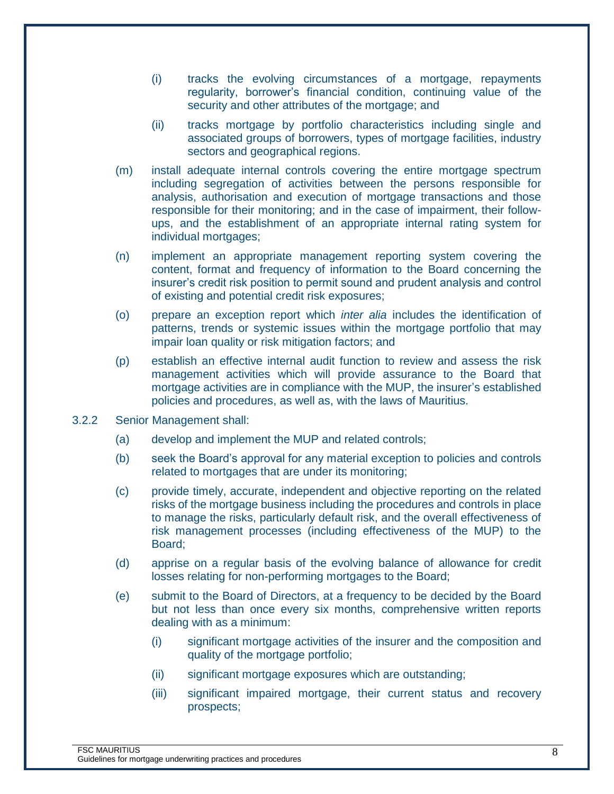- (i) tracks the evolving circumstances of a mortgage, repayments regularity, borrower's financial condition, continuing value of the security and other attributes of the mortgage; and
- (ii) tracks mortgage by portfolio characteristics including single and associated groups of borrowers, types of mortgage facilities, industry sectors and geographical regions.
- (m) install adequate internal controls covering the entire mortgage spectrum including segregation of activities between the persons responsible for analysis, authorisation and execution of mortgage transactions and those responsible for their monitoring; and in the case of impairment, their followups, and the establishment of an appropriate internal rating system for individual mortgages;
- (n) implement an appropriate management reporting system covering the content, format and frequency of information to the Board concerning the insurer's credit risk position to permit sound and prudent analysis and control of existing and potential credit risk exposures;
- (o) prepare an exception report which *inter alia* includes the identification of patterns, trends or systemic issues within the mortgage portfolio that may impair loan quality or risk mitigation factors; and
- (p) establish an effective internal audit function to review and assess the risk management activities which will provide assurance to the Board that mortgage activities are in compliance with the MUP, the insurer's established policies and procedures, as well as, with the laws of Mauritius.
- 3.2.2 Senior Management shall:
	- (a) develop and implement the MUP and related controls;
	- (b) seek the Board's approval for any material exception to policies and controls related to mortgages that are under its monitoring;
	- (c) provide timely, accurate, independent and objective reporting on the related risks of the mortgage business including the procedures and controls in place to manage the risks, particularly default risk, and the overall effectiveness of risk management processes (including effectiveness of the MUP) to the Board;
	- (d) apprise on a regular basis of the evolving balance of allowance for credit losses relating for non-performing mortgages to the Board;
	- (e) submit to the Board of Directors, at a frequency to be decided by the Board but not less than once every six months, comprehensive written reports dealing with as a minimum:
		- (i) significant mortgage activities of the insurer and the composition and quality of the mortgage portfolio;
		- (ii) significant mortgage exposures which are outstanding;
		- (iii) significant impaired mortgage, their current status and recovery prospects;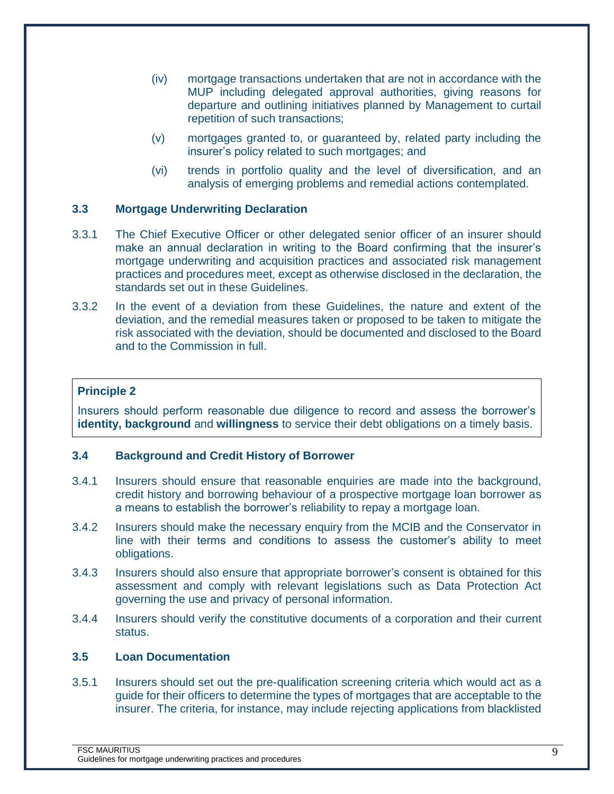- (iv) mortgage transactions undertaken that are not in accordance with the MUP including delegated approval authorities, giving reasons for departure and outlining initiatives planned by Management to curtail repetition of such transactions;
- (v) mortgages granted to, or guaranteed by, related party including the insurer's policy related to such mortgages; and
- (vi) trends in portfolio quality and the level of diversification, and an analysis of emerging problems and remedial actions contemplated.

## <span id="page-8-0"></span>**3.3 Mortgage Underwriting Declaration**

- 3.3.1 The Chief Executive Officer or other delegated senior officer of an insurer should make an annual declaration in writing to the Board confirming that the insurer's mortgage underwriting and acquisition practices and associated risk management practices and procedures meet, except as otherwise disclosed in the declaration, the standards set out in these Guidelines.
- 3.3.2 In the event of a deviation from these Guidelines, the nature and extent of the deviation, and the remedial measures taken or proposed to be taken to mitigate the risk associated with the deviation, should be documented and disclosed to the Board and to the Commission in full.

## <span id="page-8-1"></span>**Principle 2**

Insurers should perform reasonable due diligence to record and assess the borrower's **identity, background** and **willingness** to service their debt obligations on a timely basis.

## <span id="page-8-2"></span>**3.4 Background and Credit History of Borrower**

- 3.4.1 Insurers should ensure that reasonable enquiries are made into the background, credit history and borrowing behaviour of a prospective mortgage loan borrower as a means to establish the borrower's reliability to repay a mortgage loan.
- 3.4.2 Insurers should make the necessary enquiry from the MCIB and the Conservator in line with their terms and conditions to assess the customer's ability to meet obligations.
- 3.4.3 Insurers should also ensure that appropriate borrower's consent is obtained for this assessment and comply with relevant legislations such as Data Protection Act governing the use and privacy of personal information.
- 3.4.4 Insurers should verify the constitutive documents of a corporation and their current status.

#### <span id="page-8-3"></span>**3.5 Loan Documentation**

3.5.1 Insurers should set out the pre-qualification screening criteria which would act as a guide for their officers to determine the types of mortgages that are acceptable to the insurer. The criteria, for instance, may include rejecting applications from blacklisted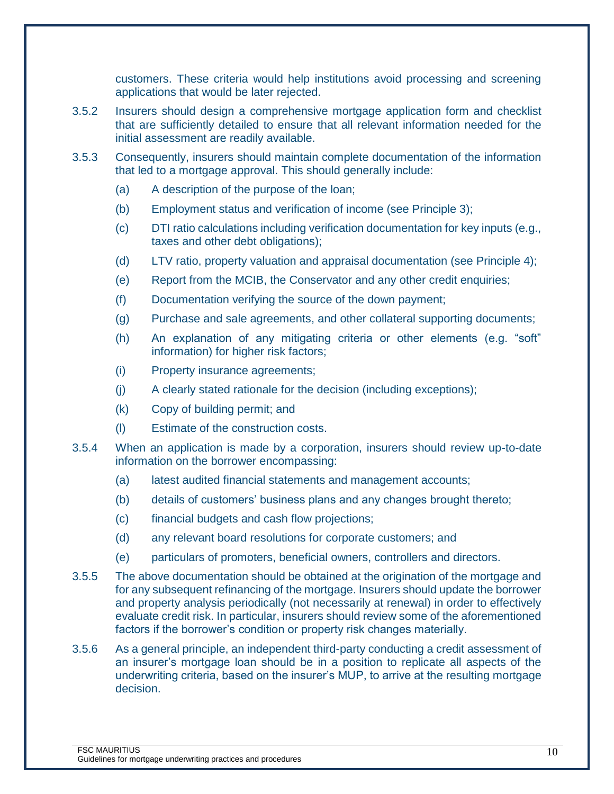customers. These criteria would help institutions avoid processing and screening applications that would be later rejected.

- 3.5.2 Insurers should design a comprehensive mortgage application form and checklist that are sufficiently detailed to ensure that all relevant information needed for the initial assessment are readily available.
- 3.5.3 Consequently, insurers should maintain complete documentation of the information that led to a mortgage approval. This should generally include:
	- (a) A description of the purpose of the loan;
	- (b) Employment status and verification of income (see Principle 3);
	- (c) DTI ratio calculations including verification documentation for key inputs (e.g., taxes and other debt obligations);
	- (d) LTV ratio, property valuation and appraisal documentation (see Principle 4);
	- (e) Report from the MCIB, the Conservator and any other credit enquiries;
	- (f) Documentation verifying the source of the down payment;
	- (g) Purchase and sale agreements, and other collateral supporting documents;
	- (h) An explanation of any mitigating criteria or other elements (e.g. "soft" information) for higher risk factors;
	- (i) Property insurance agreements;
	- (j) A clearly stated rationale for the decision (including exceptions);
	- (k) Copy of building permit; and
	- (l) Estimate of the construction costs.
- 3.5.4 When an application is made by a corporation, insurers should review up-to-date information on the borrower encompassing:
	- (a) latest audited financial statements and management accounts;
	- (b) details of customers' business plans and any changes brought thereto;
	- (c) financial budgets and cash flow projections;
	- (d) any relevant board resolutions for corporate customers; and
	- (e) particulars of promoters, beneficial owners, controllers and directors.
- 3.5.5 The above documentation should be obtained at the origination of the mortgage and for any subsequent refinancing of the mortgage. Insurers should update the borrower and property analysis periodically (not necessarily at renewal) in order to effectively evaluate credit risk. In particular, insurers should review some of the aforementioned factors if the borrower's condition or property risk changes materially.
- 3.5.6 As a general principle, an independent third-party conducting a credit assessment of an insurer's mortgage loan should be in a position to replicate all aspects of the underwriting criteria, based on the insurer's MUP, to arrive at the resulting mortgage decision.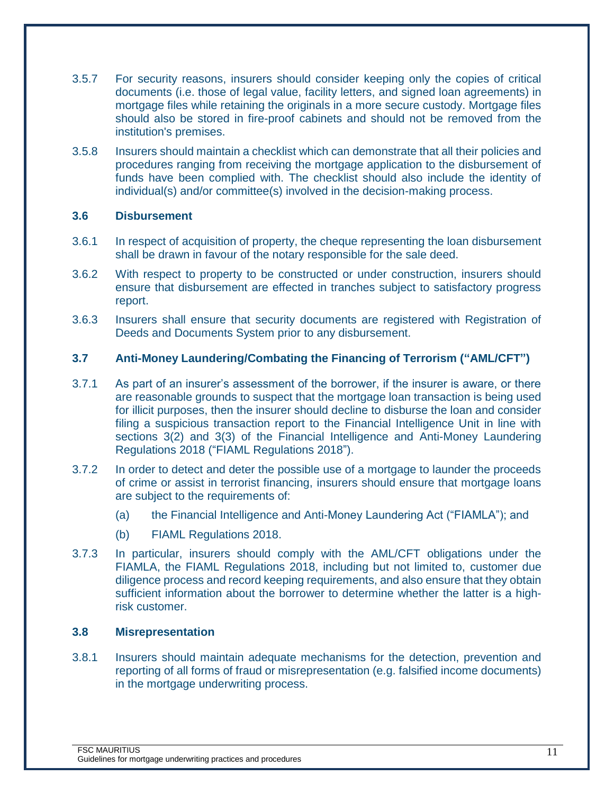- 3.5.7 For security reasons, insurers should consider keeping only the copies of critical documents (i.e. those of legal value, facility letters, and signed loan agreements) in mortgage files while retaining the originals in a more secure custody. Mortgage files should also be stored in fire-proof cabinets and should not be removed from the institution's premises.
- 3.5.8 Insurers should maintain a checklist which can demonstrate that all their policies and procedures ranging from receiving the mortgage application to the disbursement of funds have been complied with. The checklist should also include the identity of individual(s) and/or committee(s) involved in the decision-making process.

#### <span id="page-10-0"></span>**3.6 Disbursement**

- 3.6.1 In respect of acquisition of property, the cheque representing the loan disbursement shall be drawn in favour of the notary responsible for the sale deed.
- 3.6.2 With respect to property to be constructed or under construction, insurers should ensure that disbursement are effected in tranches subject to satisfactory progress report.
- 3.6.3 Insurers shall ensure that security documents are registered with Registration of Deeds and Documents System prior to any disbursement.

## <span id="page-10-1"></span>**3.7 Anti-Money Laundering/Combating the Financing of Terrorism ("AML/CFT")**

- 3.7.1 As part of an insurer's assessment of the borrower, if the insurer is aware, or there are reasonable grounds to suspect that the mortgage loan transaction is being used for illicit purposes, then the insurer should decline to disburse the loan and consider filing a suspicious transaction report to the Financial Intelligence Unit in line with sections 3(2) and 3(3) of the Financial Intelligence and Anti-Money Laundering Regulations 2018 ("FIAML Regulations 2018").
- 3.7.2 In order to detect and deter the possible use of a mortgage to launder the proceeds of crime or assist in terrorist financing, insurers should ensure that mortgage loans are subject to the requirements of:
	- (a) the Financial Intelligence and Anti-Money Laundering Act ("FIAMLA"); and
	- (b) FIAML Regulations 2018.
- 3.7.3 In particular, insurers should comply with the AML/CFT obligations under the FIAMLA, the FIAML Regulations 2018, including but not limited to, customer due diligence process and record keeping requirements, and also ensure that they obtain sufficient information about the borrower to determine whether the latter is a highrisk customer.

#### <span id="page-10-2"></span>**3.8 Misrepresentation**

3.8.1 Insurers should maintain adequate mechanisms for the detection, prevention and reporting of all forms of fraud or misrepresentation (e.g. falsified income documents) in the mortgage underwriting process.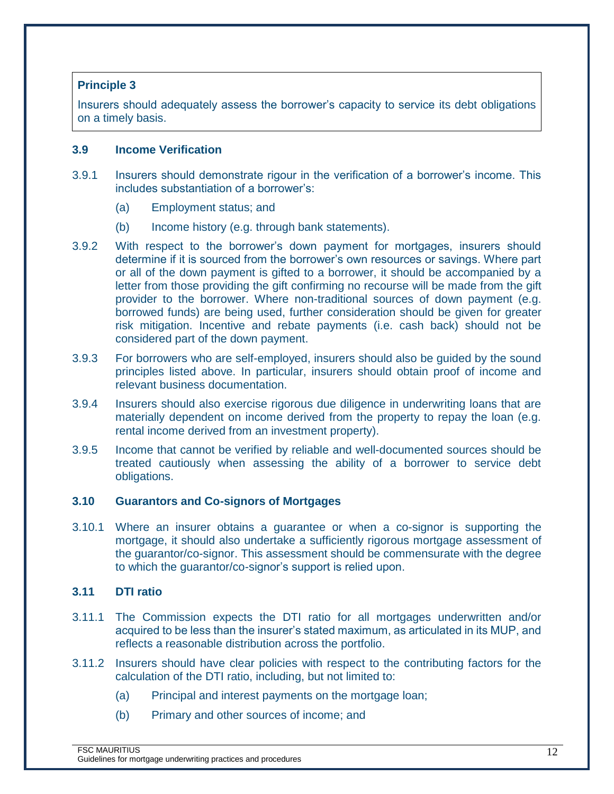## <span id="page-11-0"></span>**Principle 3**

Insurers should adequately assess the borrower's capacity to service its debt obligations on a timely basis.

#### <span id="page-11-1"></span>**3.9 Income Verification**

- 3.9.1 Insurers should demonstrate rigour in the verification of a borrower's income. This includes substantiation of a borrower's:
	- (a) Employment status; and
	- (b) Income history (e.g. through bank statements).
- 3.9.2 With respect to the borrower's down payment for mortgages, insurers should determine if it is sourced from the borrower's own resources or savings. Where part or all of the down payment is gifted to a borrower, it should be accompanied by a letter from those providing the gift confirming no recourse will be made from the gift provider to the borrower. Where non-traditional sources of down payment (e.g. borrowed funds) are being used, further consideration should be given for greater risk mitigation. Incentive and rebate payments (i.e. cash back) should not be considered part of the down payment.
- 3.9.3 For borrowers who are self-employed, insurers should also be guided by the sound principles listed above. In particular, insurers should obtain proof of income and relevant business documentation.
- 3.9.4 Insurers should also exercise rigorous due diligence in underwriting loans that are materially dependent on income derived from the property to repay the loan (e.g. rental income derived from an investment property).
- 3.9.5 Income that cannot be verified by reliable and well-documented sources should be treated cautiously when assessing the ability of a borrower to service debt obligations.

#### <span id="page-11-2"></span>**3.10 Guarantors and Co-signors of Mortgages**

3.10.1 Where an insurer obtains a guarantee or when a co-signor is supporting the mortgage, it should also undertake a sufficiently rigorous mortgage assessment of the guarantor/co-signor. This assessment should be commensurate with the degree to which the guarantor/co-signor's support is relied upon.

#### <span id="page-11-3"></span>**3.11 DTI ratio**

- 3.11.1 The Commission expects the DTI ratio for all mortgages underwritten and/or acquired to be less than the insurer's stated maximum, as articulated in its MUP, and reflects a reasonable distribution across the portfolio.
- 3.11.2 Insurers should have clear policies with respect to the contributing factors for the calculation of the DTI ratio, including, but not limited to:
	- (a) Principal and interest payments on the mortgage loan;
	- (b) Primary and other sources of income; and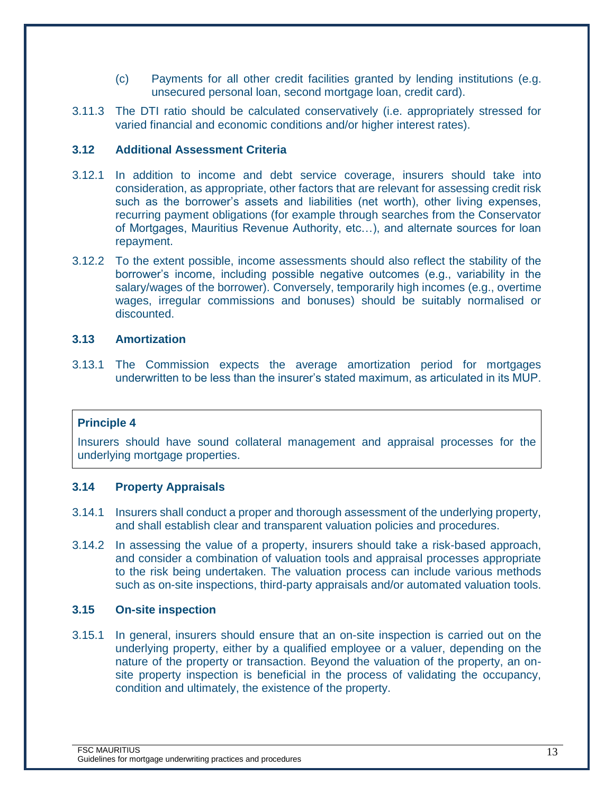- (c) Payments for all other credit facilities granted by lending institutions (e.g. unsecured personal loan, second mortgage loan, credit card).
- 3.11.3 The DTI ratio should be calculated conservatively (i.e. appropriately stressed for varied financial and economic conditions and/or higher interest rates).

## <span id="page-12-0"></span>**3.12 Additional Assessment Criteria**

- 3.12.1 In addition to income and debt service coverage, insurers should take into consideration, as appropriate, other factors that are relevant for assessing credit risk such as the borrower's assets and liabilities (net worth), other living expenses, recurring payment obligations (for example through searches from the Conservator of Mortgages, Mauritius Revenue Authority, etc…), and alternate sources for loan repayment.
- 3.12.2 To the extent possible, income assessments should also reflect the stability of the borrower's income, including possible negative outcomes (e.g., variability in the salary/wages of the borrower). Conversely, temporarily high incomes (e.g., overtime wages, irregular commissions and bonuses) should be suitably normalised or discounted.

#### <span id="page-12-1"></span>**3.13 Amortization**

3.13.1 The Commission expects the average amortization period for mortgages underwritten to be less than the insurer's stated maximum, as articulated in its MUP.

#### <span id="page-12-2"></span>**Principle 4**

Insurers should have sound collateral management and appraisal processes for the underlying mortgage properties.

#### <span id="page-12-3"></span>**3.14 Property Appraisals**

- 3.14.1 Insurers shall conduct a proper and thorough assessment of the underlying property, and shall establish clear and transparent valuation policies and procedures.
- 3.14.2 In assessing the value of a property, insurers should take a risk-based approach, and consider a combination of valuation tools and appraisal processes appropriate to the risk being undertaken. The valuation process can include various methods such as on-site inspections, third-party appraisals and/or automated valuation tools.

#### <span id="page-12-4"></span>**3.15 On-site inspection**

3.15.1 In general, insurers should ensure that an on-site inspection is carried out on the underlying property, either by a qualified employee or a valuer, depending on the nature of the property or transaction. Beyond the valuation of the property, an onsite property inspection is beneficial in the process of validating the occupancy, condition and ultimately, the existence of the property.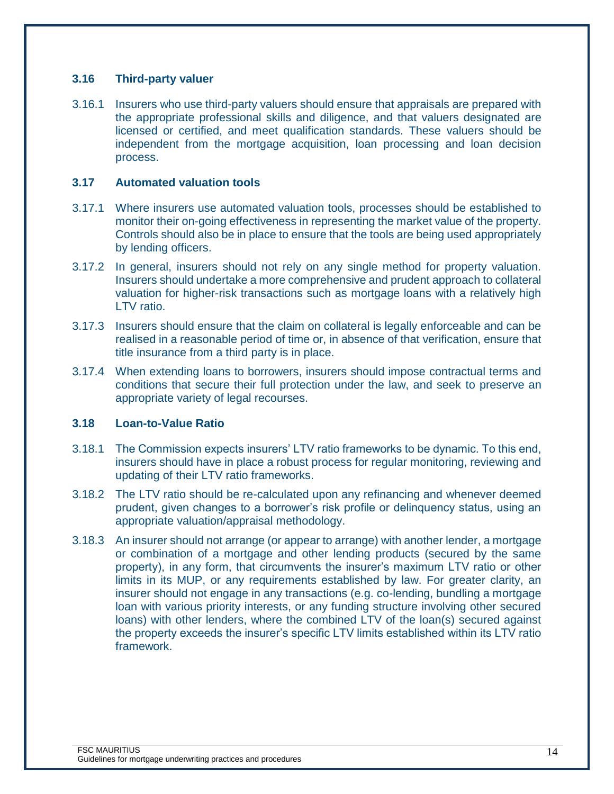#### <span id="page-13-0"></span>**3.16 Third-party valuer**

3.16.1 Insurers who use third-party valuers should ensure that appraisals are prepared with the appropriate professional skills and diligence, and that valuers designated are licensed or certified, and meet qualification standards. These valuers should be independent from the mortgage acquisition, loan processing and loan decision process.

#### <span id="page-13-1"></span>**3.17 Automated valuation tools**

- 3.17.1 Where insurers use automated valuation tools, processes should be established to monitor their on-going effectiveness in representing the market value of the property. Controls should also be in place to ensure that the tools are being used appropriately by lending officers.
- 3.17.2 In general, insurers should not rely on any single method for property valuation. Insurers should undertake a more comprehensive and prudent approach to collateral valuation for higher-risk transactions such as mortgage loans with a relatively high LTV ratio.
- 3.17.3 Insurers should ensure that the claim on collateral is legally enforceable and can be realised in a reasonable period of time or, in absence of that verification, ensure that title insurance from a third party is in place.
- 3.17.4 When extending loans to borrowers, insurers should impose contractual terms and conditions that secure their full protection under the law, and seek to preserve an appropriate variety of legal recourses.

#### <span id="page-13-2"></span>**3.18 Loan-to-Value Ratio**

- 3.18.1 The Commission expects insurers' LTV ratio frameworks to be dynamic. To this end, insurers should have in place a robust process for regular monitoring, reviewing and updating of their LTV ratio frameworks.
- 3.18.2 The LTV ratio should be re-calculated upon any refinancing and whenever deemed prudent, given changes to a borrower's risk profile or delinquency status, using an appropriate valuation/appraisal methodology.
- 3.18.3 An insurer should not arrange (or appear to arrange) with another lender, a mortgage or combination of a mortgage and other lending products (secured by the same property), in any form, that circumvents the insurer's maximum LTV ratio or other limits in its MUP, or any requirements established by law. For greater clarity, an insurer should not engage in any transactions (e.g. co-lending, bundling a mortgage loan with various priority interests, or any funding structure involving other secured loans) with other lenders, where the combined LTV of the loan(s) secured against the property exceeds the insurer's specific LTV limits established within its LTV ratio framework.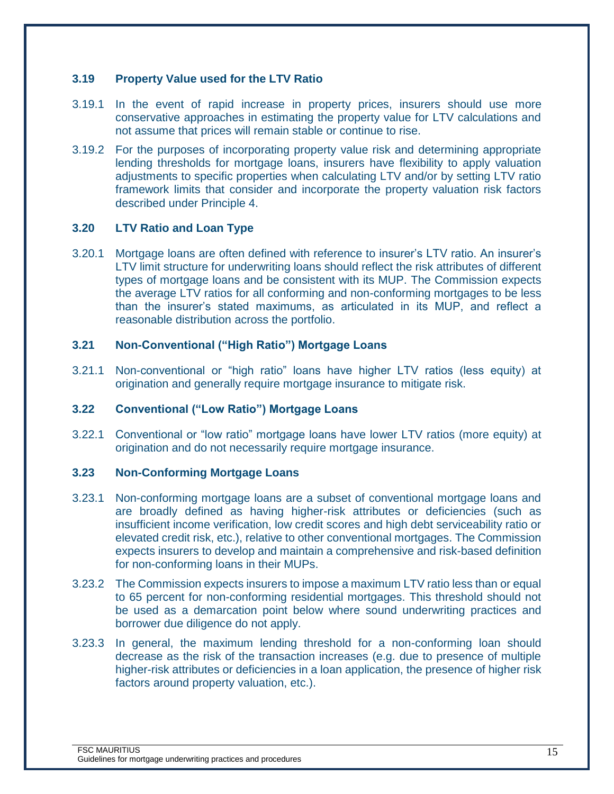## <span id="page-14-0"></span>**3.19 Property Value used for the LTV Ratio**

- 3.19.1 In the event of rapid increase in property prices, insurers should use more conservative approaches in estimating the property value for LTV calculations and not assume that prices will remain stable or continue to rise.
- 3.19.2 For the purposes of incorporating property value risk and determining appropriate lending thresholds for mortgage loans, insurers have flexibility to apply valuation adjustments to specific properties when calculating LTV and/or by setting LTV ratio framework limits that consider and incorporate the property valuation risk factors described under Principle 4.

## <span id="page-14-1"></span>**3.20 LTV Ratio and Loan Type**

3.20.1 Mortgage loans are often defined with reference to insurer's LTV ratio. An insurer's LTV limit structure for underwriting loans should reflect the risk attributes of different types of mortgage loans and be consistent with its MUP. The Commission expects the average LTV ratios for all conforming and non-conforming mortgages to be less than the insurer's stated maximums, as articulated in its MUP, and reflect a reasonable distribution across the portfolio.

## <span id="page-14-2"></span>**3.21 Non-Conventional ("High Ratio") Mortgage Loans**

3.21.1 Non-conventional or "high ratio" loans have higher LTV ratios (less equity) at origination and generally require mortgage insurance to mitigate risk.

#### <span id="page-14-3"></span>**3.22 Conventional ("Low Ratio") Mortgage Loans**

3.22.1 Conventional or "low ratio" mortgage loans have lower LTV ratios (more equity) at origination and do not necessarily require mortgage insurance.

#### <span id="page-14-4"></span>**3.23 Non-Conforming Mortgage Loans**

- 3.23.1 Non-conforming mortgage loans are a subset of conventional mortgage loans and are broadly defined as having higher-risk attributes or deficiencies (such as insufficient income verification, low credit scores and high debt serviceability ratio or elevated credit risk, etc.), relative to other conventional mortgages. The Commission expects insurers to develop and maintain a comprehensive and risk-based definition for non-conforming loans in their MUPs.
- 3.23.2 The Commission expects insurers to impose a maximum LTV ratio less than or equal to 65 percent for non-conforming residential mortgages. This threshold should not be used as a demarcation point below where sound underwriting practices and borrower due diligence do not apply.
- 3.23.3 In general, the maximum lending threshold for a non-conforming loan should decrease as the risk of the transaction increases (e.g. due to presence of multiple higher-risk attributes or deficiencies in a loan application, the presence of higher risk factors around property valuation, etc.).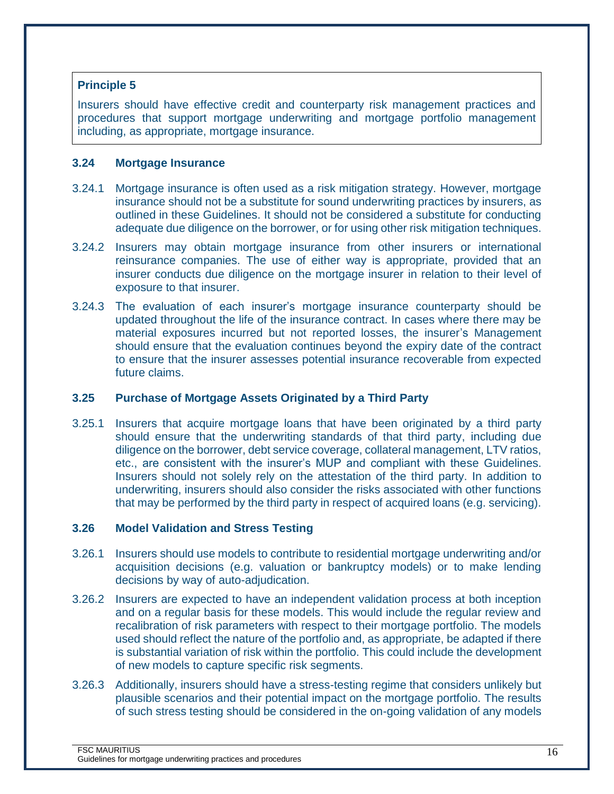## <span id="page-15-0"></span>**Principle 5**

Insurers should have effective credit and counterparty risk management practices and procedures that support mortgage underwriting and mortgage portfolio management including, as appropriate, mortgage insurance.

#### <span id="page-15-1"></span>**3.24 Mortgage Insurance**

- 3.24.1 Mortgage insurance is often used as a risk mitigation strategy. However, mortgage insurance should not be a substitute for sound underwriting practices by insurers, as outlined in these Guidelines. It should not be considered a substitute for conducting adequate due diligence on the borrower, or for using other risk mitigation techniques.
- 3.24.2 Insurers may obtain mortgage insurance from other insurers or international reinsurance companies. The use of either way is appropriate, provided that an insurer conducts due diligence on the mortgage insurer in relation to their level of exposure to that insurer.
- 3.24.3 The evaluation of each insurer's mortgage insurance counterparty should be updated throughout the life of the insurance contract. In cases where there may be material exposures incurred but not reported losses, the insurer's Management should ensure that the evaluation continues beyond the expiry date of the contract to ensure that the insurer assesses potential insurance recoverable from expected future claims.

#### <span id="page-15-2"></span>**3.25 Purchase of Mortgage Assets Originated by a Third Party**

3.25.1 Insurers that acquire mortgage loans that have been originated by a third party should ensure that the underwriting standards of that third party, including due diligence on the borrower, debt service coverage, collateral management, LTV ratios, etc., are consistent with the insurer's MUP and compliant with these Guidelines. Insurers should not solely rely on the attestation of the third party. In addition to underwriting, insurers should also consider the risks associated with other functions that may be performed by the third party in respect of acquired loans (e.g. servicing).

## <span id="page-15-3"></span>**3.26 Model Validation and Stress Testing**

- 3.26.1 Insurers should use models to contribute to residential mortgage underwriting and/or acquisition decisions (e.g. valuation or bankruptcy models) or to make lending decisions by way of auto-adjudication.
- 3.26.2 Insurers are expected to have an independent validation process at both inception and on a regular basis for these models. This would include the regular review and recalibration of risk parameters with respect to their mortgage portfolio. The models used should reflect the nature of the portfolio and, as appropriate, be adapted if there is substantial variation of risk within the portfolio. This could include the development of new models to capture specific risk segments.
- 3.26.3 Additionally, insurers should have a stress-testing regime that considers unlikely but plausible scenarios and their potential impact on the mortgage portfolio. The results of such stress testing should be considered in the on-going validation of any models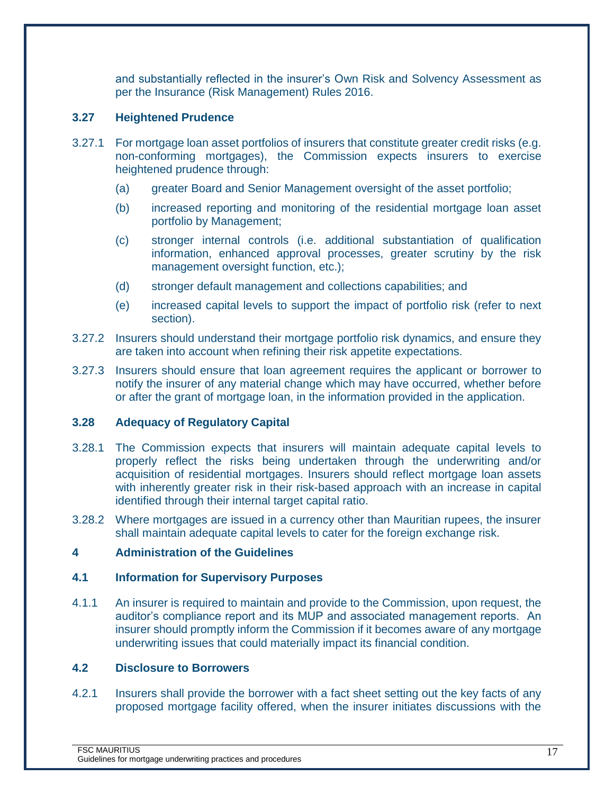and substantially reflected in the insurer's Own Risk and Solvency Assessment as per the Insurance (Risk Management) Rules 2016.

## <span id="page-16-0"></span>**3.27 Heightened Prudence**

- 3.27.1 For mortgage loan asset portfolios of insurers that constitute greater credit risks (e.g. non-conforming mortgages), the Commission expects insurers to exercise heightened prudence through:
	- (a) greater Board and Senior Management oversight of the asset portfolio;
	- (b) increased reporting and monitoring of the residential mortgage loan asset portfolio by Management;
	- (c) stronger internal controls (i.e. additional substantiation of qualification information, enhanced approval processes, greater scrutiny by the risk management oversight function, etc.);
	- (d) stronger default management and collections capabilities; and
	- (e) increased capital levels to support the impact of portfolio risk (refer to next section).
- 3.27.2 Insurers should understand their mortgage portfolio risk dynamics, and ensure they are taken into account when refining their risk appetite expectations.
- 3.27.3 Insurers should ensure that loan agreement requires the applicant or borrower to notify the insurer of any material change which may have occurred, whether before or after the grant of mortgage loan, in the information provided in the application.

#### <span id="page-16-1"></span>**3.28 Adequacy of Regulatory Capital**

- 3.28.1 The Commission expects that insurers will maintain adequate capital levels to properly reflect the risks being undertaken through the underwriting and/or acquisition of residential mortgages. Insurers should reflect mortgage loan assets with inherently greater risk in their risk-based approach with an increase in capital identified through their internal target capital ratio.
- 3.28.2 Where mortgages are issued in a currency other than Mauritian rupees, the insurer shall maintain adequate capital levels to cater for the foreign exchange risk.

## <span id="page-16-2"></span>**4 Administration of the Guidelines**

#### <span id="page-16-3"></span>**4.1 Information for Supervisory Purposes**

4.1.1 An insurer is required to maintain and provide to the Commission, upon request, the auditor's compliance report and its MUP and associated management reports. An insurer should promptly inform the Commission if it becomes aware of any mortgage underwriting issues that could materially impact its financial condition.

#### <span id="page-16-4"></span>**4.2 Disclosure to Borrowers**

4.2.1 Insurers shall provide the borrower with a fact sheet setting out the key facts of any proposed mortgage facility offered, when the insurer initiates discussions with the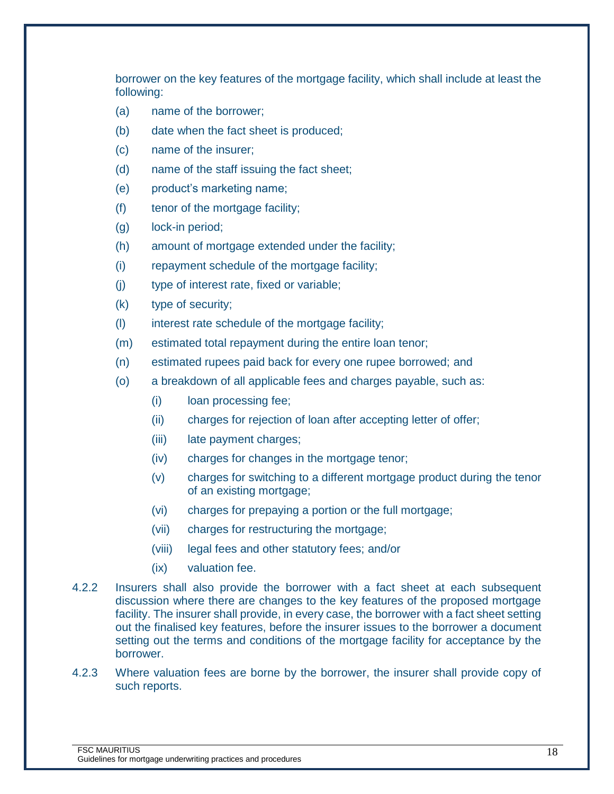borrower on the key features of the mortgage facility, which shall include at least the following:

- (a) name of the borrower;
- (b) date when the fact sheet is produced;
- (c) name of the insurer;
- (d) name of the staff issuing the fact sheet;
- (e) product's marketing name;
- (f) tenor of the mortgage facility;
- (g) lock-in period;
- (h) amount of mortgage extended under the facility;
- (i) repayment schedule of the mortgage facility;
- (j) type of interest rate, fixed or variable;
- (k) type of security;
- (l) interest rate schedule of the mortgage facility;
- (m) estimated total repayment during the entire loan tenor;
- (n) estimated rupees paid back for every one rupee borrowed; and
- (o) a breakdown of all applicable fees and charges payable, such as:
	- (i) loan processing fee;
	- (ii) charges for rejection of loan after accepting letter of offer;
	- (iii) late payment charges;
	- (iv) charges for changes in the mortgage tenor;
	- (v) charges for switching to a different mortgage product during the tenor of an existing mortgage;
	- (vi) charges for prepaying a portion or the full mortgage;
	- (vii) charges for restructuring the mortgage;
	- (viii) legal fees and other statutory fees; and/or
	- (ix) valuation fee.
- 4.2.2 Insurers shall also provide the borrower with a fact sheet at each subsequent discussion where there are changes to the key features of the proposed mortgage facility. The insurer shall provide, in every case, the borrower with a fact sheet setting out the finalised key features, before the insurer issues to the borrower a document setting out the terms and conditions of the mortgage facility for acceptance by the borrower.
- 4.2.3 Where valuation fees are borne by the borrower, the insurer shall provide copy of such reports.